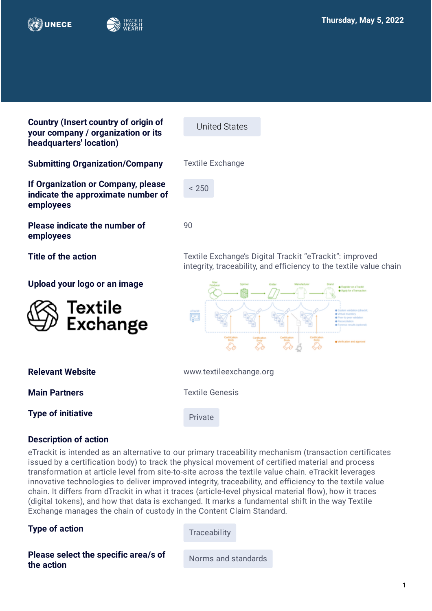



**Country (Insert country of origin of your company / organization or its headquarters' location)**

United States

 $< 250$ 

 $9<sub>0</sub>$ 

**Submitting Organization/Company** Textile Exchange

**If Organization or Company, please indicate the approximate number of employees**

**Please indicate the number of employees** 

**Upload your logo or an image**

Textile<br>Exchange

**Title of the action Textile Exchange's Digital Trackit "eTrackit": improved** integrity, traceability, and efficiency to the textile value chain



| <b>Relevant Website</b> |  |
|-------------------------|--|
|                         |  |

**Type of initiative Private** 

**Main Partners** Textile Genesis

**Relevant Website**  www.textileexchange.org

## **Description of action**

eTrackit is intended as an alternative to our primary traceability mechanism (transaction certificates issued by a certification body) to track the physical movement of certified material and process transformation at article level from site-to-site across the textile value chain. eTrackit leverages innovative technologies to deliver improved integrity, traceability, and efficiency to the textile value chain. It differs from dTrackit in what it traces (article-level physical material flow), how it traces (digital tokens), and how that data is exchanged. It marks a fundamental shift in the way Textile Exchange manages the chain of custody in the Content Claim Standard.

# **Type of action** Traceability

**Please select the specific area/s of Please select the specific area/s of** Norms and standards the action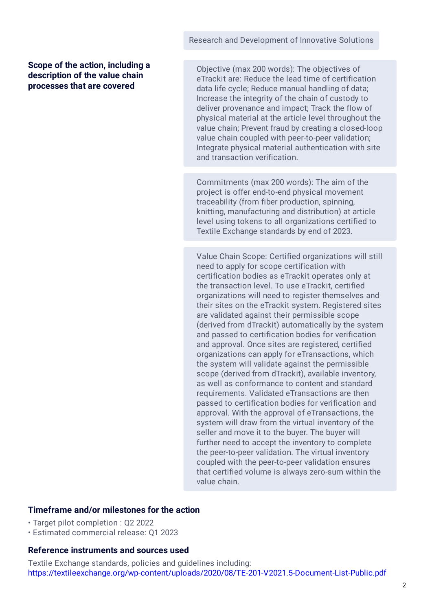#### **Scope of the action, including a description of the value chain processes that are covered**

Objective (max 200 words): The objectives of eTrackit are: Reduce the lead time of certification data life cycle; Reduce manual handling of data; Increase the integrity of the chain of custody to deliver provenance and impact; Track the flow of physical material at the article level throughout the value chain; Prevent fraud by creating a closed-loop value chain coupled with peer-to-peer validation; Integrate physical material authentication with site and transaction verification.

Commitments (max 200 words): The aim of the project is offer end-to-end physical movement traceability (from fiber production, spinning, knitting, manufacturing and distribution) at article level using tokens to all organizations certified to Textile Exchange standards by end of 2023.

Value Chain Scope: Certified organizations will still need to apply for scope certification with certification bodies as eTrackit operates only at the transaction level. To use eTrackit, certified organizations will need to register themselves and their sites on the eTrackit system. Registered sites are validated against their permissible scope (derived from dTrackit) automatically by the system and passed to certification bodies for verification and approval. Once sites are registered, certified organizations can apply for eTransactions, which the system will validate against the permissible scope (derived from dTrackit), available inventory, as well as conformance to content and standard requirements. Validated eTransactions are then passed to certification bodies for verification and approval. With the approval of eTransactions, the system will draw from the virtual inventory of the seller and move it to the buyer. The buyer will further need to accept the inventory to complete the peer-to-peer validation. The virtual inventory coupled with the peer-to-peer validation ensures that certified volume is always zero-sum within the value chain.

## **Timeframe and/or milestones for the action**

• Target pilot completion : Q2 2022

• Estimated commercial release: Q1 2023

## **Reference instruments and sources used**

Textile Exchange standards, policies and guidelines including: <https://textileexchange.org/wp-content/uploads/2020/08/TE-201-V2021.5-Document-List-Public.pdf>